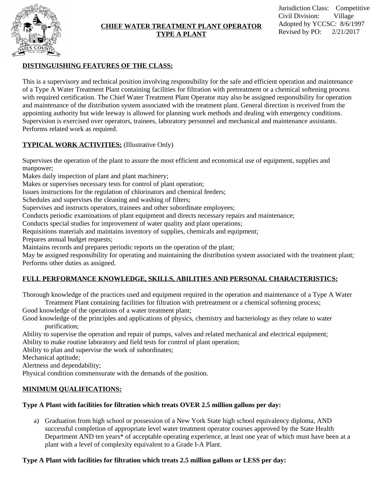

#### **CHIEF WATER TREATMENT PLANT OPERATOR TYPE A PLANT**

### **DISTINGUISHING FEATURES OF THE CLASS:**

This is a supervisory and technical position involving responsibility for the safe and efficient operation and maintenance of a Type A Water Treatment Plant containing facilities for filtration with pretreatment or a chemical softening process with required certification. The Chief Water Treatment Plant Operator may also be assigned responsibility for operation and maintenance of the distribution system associated with the treatment plant. General direction is received from the appointing authority but wide leeway is allowed for planning work methods and dealing with emergency conditions. Supervision is exercised over operators, trainees, laboratory personnel and mechanical and maintenance assistants. Performs related work as required.

### **TYPICAL WORK ACTIVITIES:** (Illustrative Only)

Supervises the operation of the plant to assure the most efficient and economical use of equipment, supplies and manpower;

Makes daily inspection of plant and plant machinery;

Makes or supervises necessary tests for control of plant operation;

Issues instructions for the regulation of chlorinators and chemical feeders;

Schedules and supervises the cleaning and washing of filters;

Supervises and instructs operators, trainees and other subordinate employees;

Conducts periodic examinations of plant equipment and directs necessary repairs and maintenance;

Conducts special studies for improvement of water quality and plant operations;

Requisitions materials and maintains inventory of supplies, chemicals and equipment;

Prepares annual budget requests;

Maintains records and prepares periodic reports on the operation of the plant;

May be assigned responsibility for operating and maintaining the distribution system associated with the treatment plant; Performs other duties as assigned.

# **FULL PERFORMANCE KNOWLEDGE, SKILLS, ABILITIES AND PERSONAL CHARACTERISTICS:**

Thorough knowledge of the practices used and equipment required in the operation and maintenance of a Type A Water Treatment Plant containing facilities for filtration with pretreatment or a chemical softening process;

Good knowledge of the operations of a water treatment plant;

Good knowledge of the principles and applications of physics, chemistry and bacteriology as they relate to water purification;

Ability to supervise the operation and repair of pumps, valves and related mechanical and electrical equipment; Ability to make routine laboratory and field tests for control of plant operation;

Ability to plan and supervise the work of subordinates;

Mechanical aptitude;

Alertness and dependability;

Physical condition commensurate with the demands of the position.

## **MINIMUM QUALIFICATIONS:**

## **Type A Plant with facilities for filtration which treats OVER 2.5 million gallons per day:**

a) Graduation from high school or possession of a New York State high school equivalency diploma, AND successful completion of appropriate level water treatment operator courses approved by the State Health Department AND ten years\* of acceptable operating experience, at least one year of which must have been at a plant with a level of complexity equivalent to a Grade I-A Plant.

## **Type A Plant with facilities for filtration which treats 2.5 million gallons or LESS per day:**